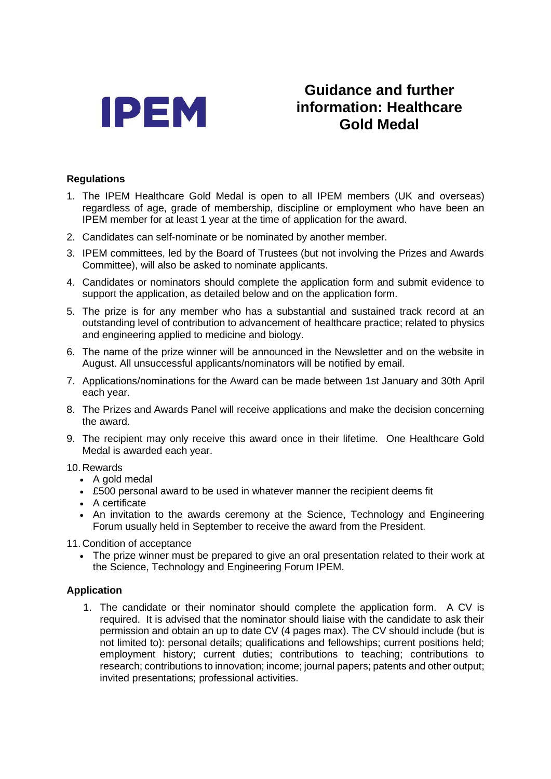

# **Guidance and further information: Healthcare Gold Medal**

## **Regulations**

- 1. The IPEM Healthcare Gold Medal is open to all IPEM members (UK and overseas) regardless of age, grade of membership, discipline or employment who have been an IPEM member for at least 1 year at the time of application for the award.
- 2. Candidates can self-nominate or be nominated by another member.
- 3. IPEM committees, led by the Board of Trustees (but not involving the Prizes and Awards Committee), will also be asked to nominate applicants.
- 4. Candidates or nominators should complete the application form and submit evidence to support the application, as detailed below and on the application form.
- 5. The prize is for any member who has a substantial and sustained track record at an outstanding level of contribution to advancement of healthcare practice; related to physics and engineering applied to medicine and biology.
- 6. The name of the prize winner will be announced in the Newsletter and on the website in August. All unsuccessful applicants/nominators will be notified by email.
- 7. Applications/nominations for the Award can be made between 1st January and 30th April each year.
- 8. The Prizes and Awards Panel will receive applications and make the decision concerning the award.
- 9. The recipient may only receive this award once in their lifetime. One Healthcare Gold Medal is awarded each year.

#### 10. Rewards

- A gold medal
- £500 personal award to be used in whatever manner the recipient deems fit
- A certificate
- An invitation to the awards ceremony at the Science, Technology and Engineering Forum usually held in September to receive the award from the President.
- 11. Condition of acceptance
	- The prize winner must be prepared to give an oral presentation related to their work at the Science, Technology and Engineering Forum IPEM.

## **Application**

1. The candidate or their nominator should complete the application form. A CV is required. It is advised that the nominator should liaise with the candidate to ask their permission and obtain an up to date CV (4 pages max). The CV should include (but is not limited to): personal details; qualifications and fellowships; current positions held; employment history; current duties; contributions to teaching; contributions to research; contributions to innovation; income; journal papers; patents and other output; invited presentations; professional activities.